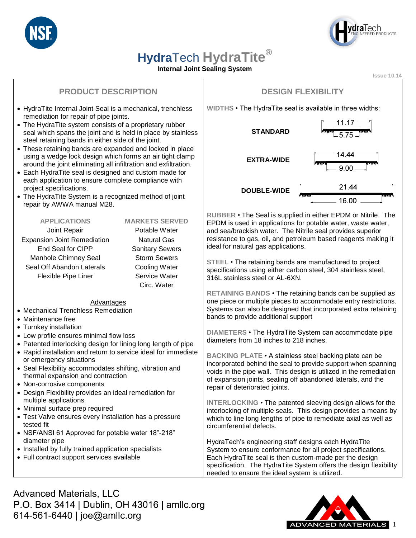



## **Hydra**Tech **HydraTite®**

#### **Internal Joint Sealing System**

**Issue 10.14**

## **PRODUCT DESCRIPTION**

- HydraTite Internal Joint Seal is a mechanical, trenchless remediation for repair of pipe joints.
- The HydraTite system consists of a proprietary rubber seal which spans the joint and is held in place by stainless steel retaining bands in either side of the joint.
- These retaining bands are expanded and locked in place using a wedge lock design which forms an air tight clamp around the joint eliminating all infiltration and exfiltration.
- Each HydraTite seal is designed and custom made for each application to ensure complete compliance with project specifications.
- The HydraTite System is a recognized method of joint repair by AWWA manual M28.

#### **APPLICATIONS MARKETS SERVED** Joint Repair **Potable Water** Expansion Joint Remediation Natural Gas End Seal for CIPP Sanitary Sewers Manhole Chimney Seal Storm Sewers Seal Off Abandon Laterals Cooling Water Flexible Pipe Liner Service Water

Circ. Water

#### Advantages

- Mechanical Trenchless Remediation
- Maintenance free
- Turnkey installation
- Low profile ensures minimal flow loss
- Patented interlocking design for lining long length of pipe
- Rapid installation and return to service ideal for immediate or emergency situations
- Seal Flexibility accommodates shifting, vibration and thermal expansion and contraction
- Non-corrosive components
- Design Flexibility provides an ideal remediation for multiple applications
- Minimal surface prep required
- Test Valve ensures every installation has a pressure tested fit
- NSF/ANSI 61 Approved for potable water 18"-218" diameter pipe
- Installed by fully trained application specialists
- Full contract support services available

### **DESIGN FLEXIBILITY**

**WIDTHS** • The HydraTite seal is available in three widths:



**RUBBER** • The Seal is supplied in either EPDM or Nitrile. The EPDM is used in applications for potable water, waste water, and sea/brackish water. The Nitrile seal provides superior resistance to gas, oil, and petroleum based reagents making it ideal for natural gas applications.

**STEEL** • The retaining bands are manufactured to project specifications using either carbon steel, 304 stainless steel, 316L stainless steel or AL-6XN.

**RETAINING BANDS** • The retaining bands can be supplied as one piece or multiple pieces to accommodate entry restrictions. Systems can also be designed that incorporated extra retaining bands to provide additional support

**DIAMETERS** • The HydraTite System can accommodate pipe diameters from 18 inches to 218 inches.

**BACKING PLATE** • A stainless steel backing plate can be incorporated behind the seal to provide support when spanning voids in the pipe wall. This design is utilized in the remediation of expansion joints, sealing off abandoned laterals, and the repair of deteriorated joints.

**INTERLOCKING** • The patented sleeving design allows for the interlocking of multiple seals. This design provides a means by which to line long lengths of pipe to remediate axial as well as circumferential defects.

HydraTech's engineering staff designs each HydraTite System to ensure conformance for all project specifications. Each HydraTite seal is then custom-made per the design specification. The HydraTite System offers the design flexibility needed to ensure the ideal system is utilized.

Advanced Materials, LLC P.O. Box 3414 | Dublin, OH 43016 | amllc.org 614-561-6440 | joe@amllc.org